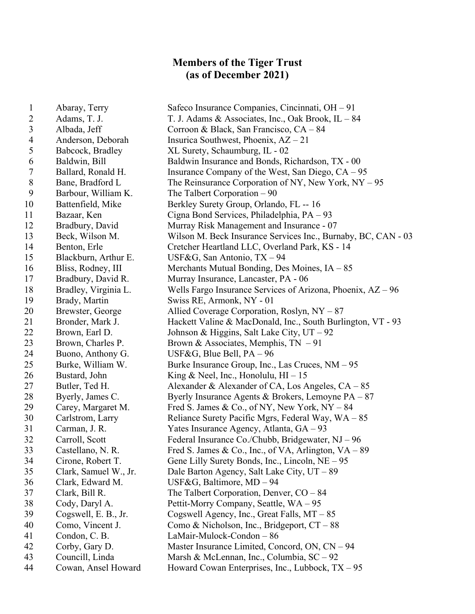## **Members of the Tiger Trust (as of December 2021)**

 Abaray, Terry Safeco Insurance Companies, Cincinnati, OH – 91 2 Adams, T. J. X. Adams & Associates, Inc., Oak Brook, IL – 84 Albada, Jeff Corroon & Black, San Francisco, CA – 84 Anderson, Deborah Insurica Southwest, Phoenix, AZ – 21 Babcock, Bradley XL Surety, Schaumburg, IL - 02 6 Baldwin, Bill Baldwin Insurance and Bonds, Richardson, TX - 00 7 Ballard, Ronald H. Insurance Company of the West, San Diego, CA – 95 8 Bane, Bradford L The Reinsurance Corporation of NY, New York, NY – 95 Barbour, William K. The Talbert Corporation – 90 10 Battenfield, Mike Berkley Surety Group, Orlando, FL -- 16 Bazaar, Ken Cigna Bond Services, Philadelphia, PA – 93 Bradbury, David Murray Risk Management and Insurance - 07 Beck, Wilson M. Wilson M. Beck Insurance Services Inc., Burnaby, BC, CAN - 03 14 Benton, Erle Cretcher Heartland LLC, Overland Park, KS - 14 Blackburn, Arthur E. USF&G, San Antonio, TX – 94 Bliss, Rodney, III Merchants Mutual Bonding, Des Moines, IA – 85 Bradbury, David R. Murray Insurance, Lancaster, PA - 06 Bradley, Virginia L. Wells Fargo Insurance Services of Arizona, Phoenix, AZ – 96 Brady, Martin Swiss RE, Armonk, NY - 01 Brewster, George Allied Coverage Corporation, Roslyn, NY – 87 Bronder, Mark J. Hackett Valine & MacDonald, Inc., South Burlington, VT - 93 Brown, Earl D. Johnson & Higgins, Salt Lake City, UT – 92 23 Brown, Charles P. Brown & Associates, Memphis, TN – 91 24 Buono, Anthony G. USF&G, Blue Bell, PA – 96 Burke, William W. Burke Insurance Group, Inc., Las Cruces, NM – 95 26 Bustard, John King & Neel, Inc., Honolulu, HI – 15 27 Butler, Ted H. Alexander & Alexander of CA, Los Angeles, CA – 85 28 Byerly, James C. Byerly Insurance Agents & Brokers, Lemoyne PA – 87 29 Carey, Margaret M. Fred S. James & Co., of NY, New York, NY – 84 30 Carlstrom, Larry Reliance Surety Pacific Mgrs, Federal Way, WA – 85 Carman, J. R. Yates Insurance Agency, Atlanta, GA – 93 Carroll, Scott Federal Insurance Co./Chubb, Bridgewater, NJ – 96 Castellano, N. R. Fred S. James & Co., Inc., of VA, Arlington, VA – 89 Cirone, Robert T. Gene Lilly Surety Bonds, Inc., Lincoln, NE – 95 Clark, Samuel W., Jr. Dale Barton Agency, Salt Lake City, UT – 89 Clark, Edward M. USF&G, Baltimore, MD – 94 Clark, Bill R. The Talbert Corporation, Denver, CO – 84 Cody, Daryl A. Pettit-Morry Company, Seattle, WA – 95 Cogswell, E. B., Jr. Cogswell Agency, Inc., Great Falls, MT – 85 Como, Vincent J. Como & Nicholson, Inc., Bridgeport, CT – 88 Condon, C. B. LaMair-Mulock-Condon – 86 Corby, Gary D. Master Insurance Limited, Concord, ON, CN – 94 Councill, Linda Marsh & McLennan, Inc., Columbia, SC – 92 Cowan, Ansel Howard Howard Cowan Enterprises, Inc., Lubbock, TX – 95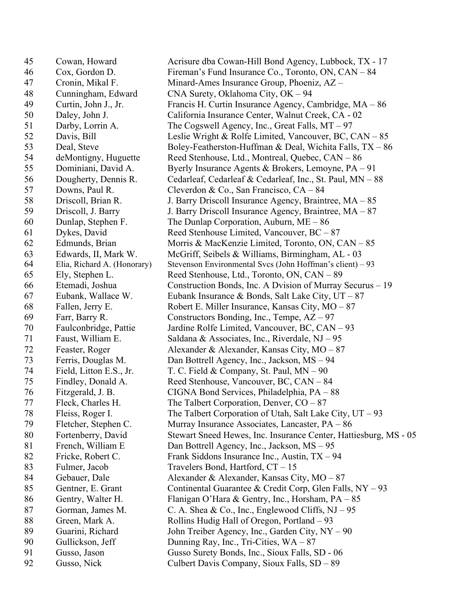Cowan, Howard Acrisure dba Cowan-Hill Bond Agency, Lubbock, TX - 17 Cox, Gordon D. Fireman's Fund Insurance Co., Toronto, ON, CAN – 84 Cronin, Mikal F. Minard-Ames Insurance Group, Phoeniz, AZ – Cunningham, Edward CNA Surety, Oklahoma City, OK – 94 Curtin, John J., Jr. Francis H. Curtin Insurance Agency, Cambridge, MA – 86 Daley, John J. California Insurance Center, Walnut Creek, CA - 02 Darby, Lorrin A. The Cogswell Agency, Inc., Great Falls, MT – 97 52 Davis, Bill Leslie Wright & Rolfe Limited, Vancouver, BC, CAN – 85 53 Deal, Steve Boley-Featherston-Huffman & Deal, Wichita Falls, TX – 86 deMontigny, Huguette Reed Stenhouse, Ltd., Montreal, Quebec, CAN – 86 Dominiani, David A. Byerly Insurance Agents & Brokers, Lemoyne, PA – 91 Dougherty, Dennis R. Cedarleaf, Cedarleaf & Cedarleaf, Inc., St. Paul, MN – 88 Downs, Paul R. Cleverdon & Co., San Francisco, CA – 84 Driscoll, Brian R. J. Barry Driscoll Insurance Agency, Braintree, MA – 85 Driscoll, J. Barry J. Barry Driscoll Insurance Agency, Braintree, MA – 87 Dunlap, Stephen F. The Dunlap Corporation, Auburn, ME – 86 Dykes, David Reed Stenhouse Limited, Vancouver, BC – 87 Edmunds, Brian Morris & MacKenzie Limited, Toronto, ON, CAN – 85 Edwards, II, Mark W. McGriff, Seibels & Williams, Birmingham, AL - 03 Elia, Richard A. (Honorary) Stevenson Environmental Svcs (John Hoffman's client) – 93 Ely, Stephen L. Reed Stenhouse, Ltd., Toronto, ON, CAN – 89 Etemadi, Joshua Construction Bonds, Inc. A Dvision of Murray Securus – 19 67 Eubank, Wallace W. Eubank Insurance & Bonds, Salt Lake City,  $UT - 87$  Fallen, Jerry E. Robert E. Miller Insurance, Kansas City, MO – 87 Farr, Barry R. Constructors Bonding, Inc., Tempe, AZ – 97 Faulconbridge, Pattie Jardine Rolfe Limited, Vancouver, BC, CAN – 93 Faust, William E. Saldana & Associates, Inc., Riverdale, NJ – 95 Feaster, Roger Alexander & Alexander, Kansas City, MO – 87 Ferris, Douglas M. Dan Bottrell Agency, Inc., Jackson, MS – 94 Field, Litton E.S., Jr. T. C. Field & Company, St. Paul, MN – 90 Findley, Donald A. Reed Stenhouse, Vancouver, BC, CAN – 84 Fitzgerald, J. B. CIGNA Bond Services, Philadelphia, PA – 88 77 Fleck, Charles H. The Talbert Corporation, Denver, CO – 87 Fleiss, Roger I. The Talbert Corporation of Utah, Salt Lake City, UT – 93 Fletcher, Stephen C. Murray Insurance Associates, Lancaster, PA – 86 Fortenberry, David Stewart Sneed Hewes, Inc. Insurance Center, Hattiesburg, MS - 05 81 French, William E Dan Bottrell Agency, Inc., Jackson, MS – 95 Fricke, Robert C. Frank Siddons Insurance Inc., Austin, TX – 94 Fulmer, Jacob Travelers Bond, Hartford, CT – 15 Gebauer, Dale Alexander & Alexander, Kansas City, MO – 87 85 Gentner, E. Grant Continental Guarantee & Credit Corp, Glen Falls, NY – 93 Gentry, Walter H. Flanigan O'Hara & Gentry, Inc., Horsham, PA – 85 87 Gorman, James M. C. A. Shea & Co., Inc., Englewood Cliffs, NJ – 95 88 Green, Mark A. Rollins Hudig Hall of Oregon, Portland – 93 Guarini, Richard John Treiber Agency, Inc., Garden City, NY – 90 Gullickson, Jeff Dunning Ray, Inc., Tri-Cities, WA – 87 Gusso, Jason Gusso Surety Bonds, Inc., Sioux Falls, SD - 06 Gusso, Nick Culbert Davis Company, Sioux Falls, SD – 89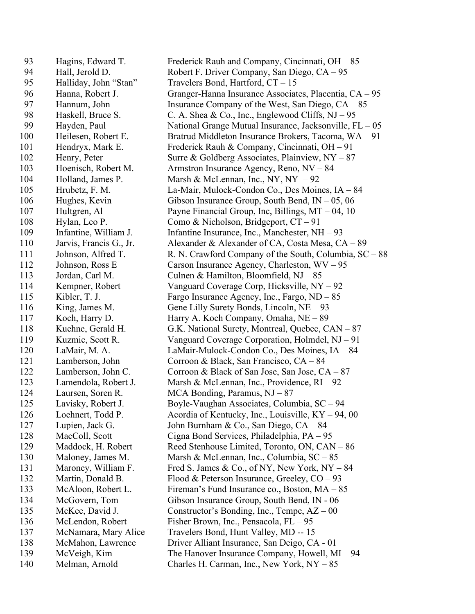Hagins, Edward T. Frederick Rauh and Company, Cincinnati, OH – 85 Hall, Jerold D. Robert F. Driver Company, San Diego, CA – 95 Halliday, John "Stan" Travelers Bond, Hartford, CT – 15 Hanna, Robert J. Granger-Hanna Insurance Associates, Placentia, CA – 95 97 Hannum, John Insurance Company of the West, San Diego, CA – 85 98 Haskell, Bruce S. C. A. Shea & Co., Inc., Englewood Cliffs, NJ – 95 Hayden, Paul National Grange Mutual Insurance, Jacksonville, FL – 05 Heilesen, Robert E. Bratrud Middleton Insurance Brokers, Tacoma, WA – 91 Hendryx, Mark E. Frederick Rauh & Company, Cincinnati, OH – 91 102 Henry, Peter Surre & Goldberg Associates, Plainview, NY – 87 Hoenisch, Robert M. Armstron Insurance Agency, Reno, NV – 84 104 Holland, James P. Marsh & McLennan, Inc., NY, NY – 92 Hrubetz, F. M. La-Mair, Mulock-Condon Co., Des Moines, IA – 84 Hughes, Kevin Gibson Insurance Group, South Bend, IN – 05, 06 Hultgren, Al Payne Financial Group, Inc, Billings, MT – 04, 10 Hylan, Leo P. Como & Nicholson, Bridgeport, CT – 91 Infantine, William J. Infantine Insurance, Inc., Manchester, NH – 93 Jarvis, Francis G., Jr. Alexander & Alexander of CA, Costa Mesa, CA – 89 111 Johnson, Alfred T. R. N. Crawford Company of the South, Columbia, SC – 88 112 Johnson, Ross E Carson Insurance Agency, Charleston, WV – 95 Jordan, Carl M. Culnen & Hamilton, Bloomfield, NJ – 85 Kempner, Robert Vanguard Coverage Corp, Hicksville, NY – 92 Kibler, T. J. Fargo Insurance Agency, Inc., Fargo, ND – 85 King, James M. Gene Lilly Surety Bonds, Lincoln, NE – 93 Koch, Harry D. Harry A. Koch Company, Omaha, NE – 89 Kuehne, Gerald H. G.K. National Surety, Montreal, Quebec, CAN – 87 Kuzmic, Scott R. Vanguard Coverage Corporation, Holmdel, NJ – 91 LaMair, M. A. LaMair-Mulock-Condon Co., Des Moines, IA – 84 Lamberson, John Corroon & Black, San Francisco, CA – 84 122 Lamberson, John C. Corroon & Black of San Jose, San Jose, CA – 87 Lamendola, Robert J. Marsh & McLennan, Inc., Providence, RI – 92 Laursen, Soren R. MCA Bonding, Paramus, NJ – 87 Lavisky, Robert J. Boyle-Vaughan Associates, Columbia, SC – 94 Loehnert, Todd P. Acordia of Kentucky, Inc., Louisville, KY – 94, 00 Lupien, Jack G. John Burnham & Co., San Diego, CA – 84 MacColl, Scott Cigna Bond Services, Philadelphia, PA – 95 129 Maddock, H. Robert Reed Stenhouse Limited, Toronto, ON, CAN – 86 130 Maloney, James M. Marsh & McLennan, Inc., Columbia, SC – 85 Maroney, William F. Fred S. James & Co., of NY, New York, NY – 84 132 Martin, Donald B. Flood & Peterson Insurance, Greeley, CO – 93 McAloon, Robert L. Fireman's Fund Insurance co., Boston, MA – 85 McGovern, Tom Gibson Insurance Group, South Bend, IN - 06 McKee, David J. Constructor's Bonding, Inc., Tempe, AZ – 00 136 McLendon, Robert Fisher Brown, Inc., Pensacola, FL – 95 McNamara, Mary Alice Travelers Bond, Hunt Valley, MD -- 15 McMahon, Lawrence Driver Alliant Insurance, San Deigo, CA - 01 McVeigh, Kim The Hanover Insurance Company, Howell, MI – 94 Melman, Arnold Charles H. Carman, Inc., New York, NY – 85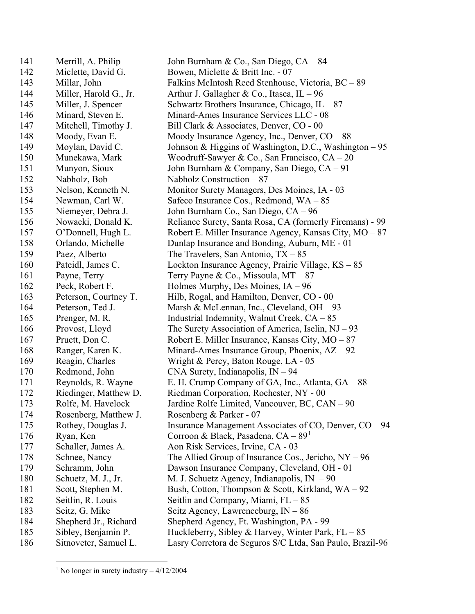| 141 | Merrill, A. Philip     | John Burnham & Co., San Diego, CA – 84                    |
|-----|------------------------|-----------------------------------------------------------|
| 142 | Miclette, David G.     | Bowen, Miclette & Britt Inc. - 07                         |
| 143 | Millar, John           | Falkins McIntosh Reed Stenhouse, Victoria, BC - 89        |
| 144 | Miller, Harold G., Jr. | Arthur J. Gallagher & Co., Itasca, IL $-96$               |
| 145 | Miller, J. Spencer     | Schwartz Brothers Insurance, Chicago, $IL - 87$           |
| 146 | Minard, Steven E.      | Minard-Ames Insurance Services LLC - 08                   |
| 147 | Mitchell, Timothy J.   | Bill Clark & Associates, Denver, CO - 00                  |
| 148 | Moody, Evan E.         | Moody Insurance Agency, Inc., Denver, $CO - 88$           |
| 149 | Moylan, David C.       | Johnson & Higgins of Washington, D.C., Washington $-95$   |
| 150 | Munekawa, Mark         | Woodruff-Sawyer & Co., San Francisco, $CA - 20$           |
| 151 | Munyon, Sioux          | John Burnham & Company, San Diego, CA - 91                |
| 152 | Nabholz, Bob           | Nabholz Construction $-87$                                |
| 153 | Nelson, Kenneth N.     | Monitor Surety Managers, Des Moines, IA - 03              |
| 154 | Newman, Carl W.        | Safeco Insurance Cos., Redmond, $WA - 85$                 |
| 155 | Niemeyer, Debra J.     | John Burnham Co., San Diego, CA – 96                      |
| 156 | Nowacki, Donald K.     | Reliance Surety, Santa Rosa, CA (formerly Firemans) - 99  |
| 157 | O'Donnell, Hugh L.     | Robert E. Miller Insurance Agency, Kansas City, $MO - 87$ |
| 158 | Orlando, Michelle      | Dunlap Insurance and Bonding, Auburn, ME - 01             |
| 159 | Paez, Alberto          | The Travelers, San Antonio, $TX - 85$                     |
| 160 | Pateidl, James C.      | Lockton Insurance Agency, Prairie Village, $KS - 85$      |
| 161 | Payne, Terry           | Terry Payne & Co., Missoula, $MT - 87$                    |
| 162 | Peck, Robert F.        | Holmes Murphy, Des Moines, $IA - 96$                      |
| 163 | Peterson, Courtney T.  | Hilb, Rogal, and Hamilton, Denver, CO - 00                |
| 164 | Peterson, Ted J.       | Marsh & McLennan, Inc., Cleveland, $OH - 93$              |
| 165 | Prenger, M. R.         | Industrial Indemnity, Walnut Creek, $CA - 85$             |
| 166 | Provost, Lloyd         | The Surety Association of America, Iselin, $NJ - 93$      |
| 167 | Pruett, Don C.         | Robert E. Miller Insurance, Kansas City, $MO - 87$        |
| 168 | Ranger, Karen K.       | Minard-Ames Insurance Group, Phoenix, $AZ - 92$           |
| 169 | Reagin, Charles        | Wright & Percy, Baton Rouge, LA - 05                      |
| 170 | Redmond, John          | CNA Surety, Indianapolis, $IN - 94$                       |
| 171 | Reynolds, R. Wayne     | E. H. Crump Company of GA, Inc., Atlanta, GA – 88         |
| 172 | Riedinger, Matthew D.  | Riedman Corporation, Rochester, NY - 00                   |
| 173 | Rolfe, M. Havelock     | Jardine Rolfe Limited, Vancouver, BC, CAN – 90            |
| 174 | Rosenberg, Matthew J.  | Rosenberg & Parker - 07                                   |
| 175 | Rothey, Douglas J.     | Insurance Management Associates of CO, Denver, CO – 94    |
| 176 | Ryan, Ken              | Corroon & Black, Pasadena, $CA - 891$                     |
| 177 | Schaller, James A.     | Aon Risk Services, Irvine, CA - 03                        |
| 178 | Schnee, Nancy          | The Allied Group of Insurance Cos., Jericho, $NY - 96$    |
| 179 | Schramm, John          | Dawson Insurance Company, Cleveland, OH - 01              |
| 180 | Schuetz, M. J., Jr.    | M. J. Schuetz Agency, Indianapolis, IN $-90$              |
| 181 | Scott, Stephen M.      | Bush, Cotton, Thompson & Scott, Kirkland, WA - 92         |
| 182 | Seitlin, R. Louis      | Seitlin and Company, Miami, FL - 85                       |
| 183 | Seitz, G. Mike         | Seitz Agency, Lawrenceburg, $IN - 86$                     |
| 184 | Shepherd Jr., Richard  | Shepherd Agency, Ft. Washington, PA - 99                  |
| 185 | Sibley, Benjamin P.    | Huckleberry, Sibley & Harvey, Winter Park, $FL - 85$      |
| 186 | Sitnoveter, Samuel L.  | Lasry Corretora de Seguros S/C Ltda, San Paulo, Brazil-96 |

<span id="page-3-0"></span><sup>1</sup> No longer in surety industry  $-4/12/2004$